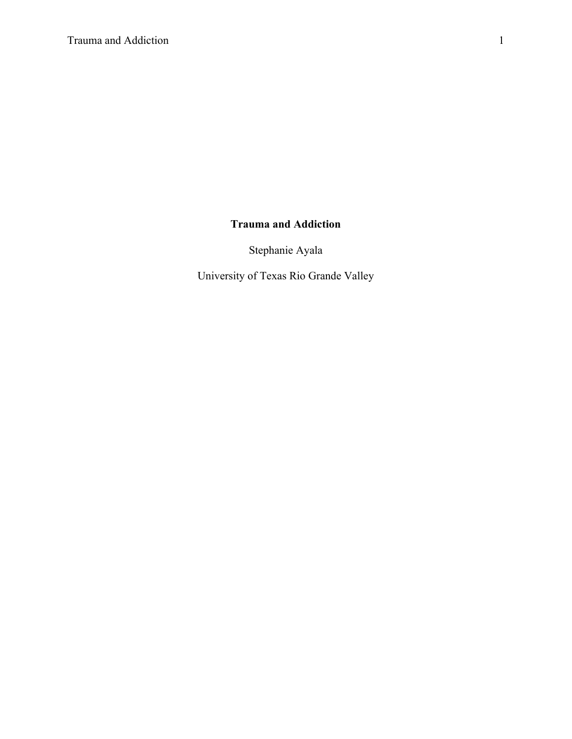# **Trauma and Addiction**

Stephanie Ayala

University of Texas Rio Grande Valley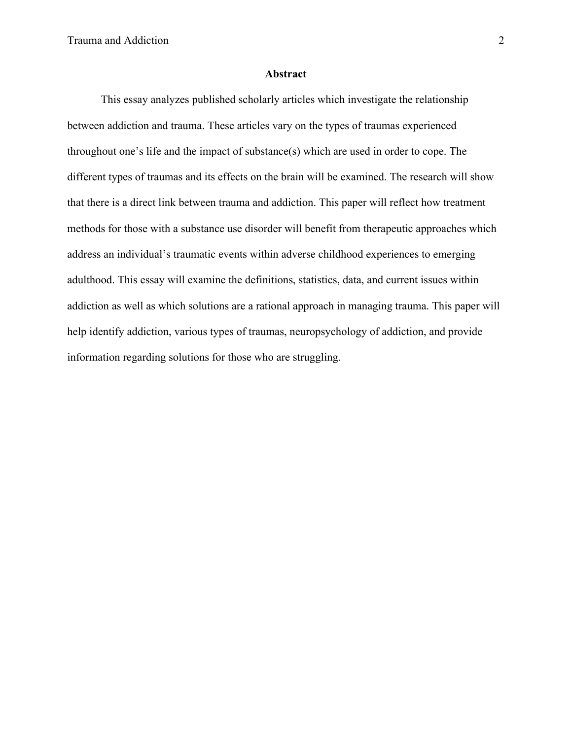## **Abstract**

 This essay analyzes published scholarly articles which investigate the relationship between addiction and trauma. These articles vary on the types of traumas experienced throughout one's life and the impact of substance(s) which are used in order to cope. The different types of traumas and its effects on the brain will be examined. The research will show that there is a direct link between trauma and addiction. This paper will reflect how treatment methods for those with a substance use disorder will benefit from therapeutic approaches which address an individual's traumatic events within adverse childhood experiences to emerging adulthood. This essay will examine the definitions, statistics, data, and current issues within addiction as well as which solutions are a rational approach in managing trauma. This paper will help identify addiction, various types of traumas, neuropsychology of addiction, and provide information regarding solutions for those who are struggling.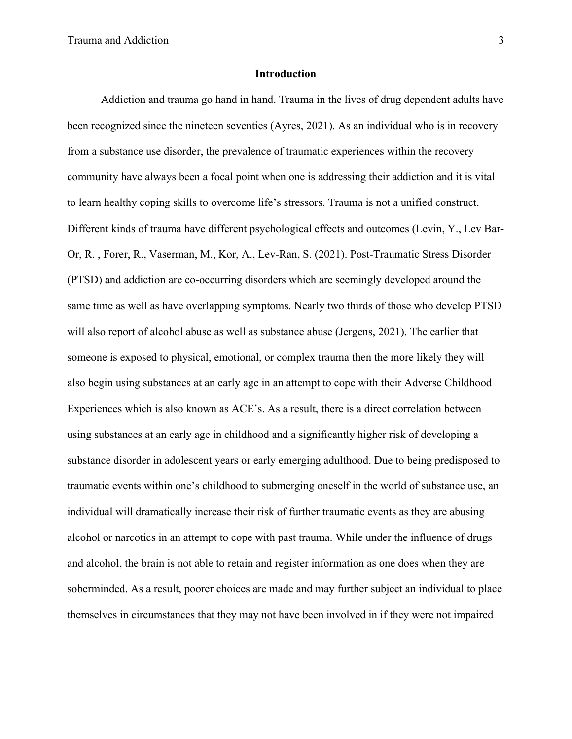# **Introduction**

Addiction and trauma go hand in hand. Trauma in the lives of drug dependent adults have been recognized since the nineteen seventies (Ayres, 2021). As an individual who is in recovery from a substance use disorder, the prevalence of traumatic experiences within the recovery community have always been a focal point when one is addressing their addiction and it is vital to learn healthy coping skills to overcome life's stressors. Trauma is not a unified construct. Different kinds of trauma have different psychological effects and outcomes (Levin, Y., Lev Bar-Or, R. , Forer, R., Vaserman, M., Kor, A., Lev-Ran, S. (2021). Post-Traumatic Stress Disorder (PTSD) and addiction are co-occurring disorders which are seemingly developed around the same time as well as have overlapping symptoms. Nearly two thirds of those who develop PTSD will also report of alcohol abuse as well as substance abuse (Jergens, 2021). The earlier that someone is exposed to physical, emotional, or complex trauma then the more likely they will also begin using substances at an early age in an attempt to cope with their Adverse Childhood Experiences which is also known as ACE's. As a result, there is a direct correlation between using substances at an early age in childhood and a significantly higher risk of developing a substance disorder in adolescent years or early emerging adulthood. Due to being predisposed to traumatic events within one's childhood to submerging oneself in the world of substance use, an individual will dramatically increase their risk of further traumatic events as they are abusing alcohol or narcotics in an attempt to cope with past trauma. While under the influence of drugs and alcohol, the brain is not able to retain and register information as one does when they are soberminded. As a result, poorer choices are made and may further subject an individual to place themselves in circumstances that they may not have been involved in if they were not impaired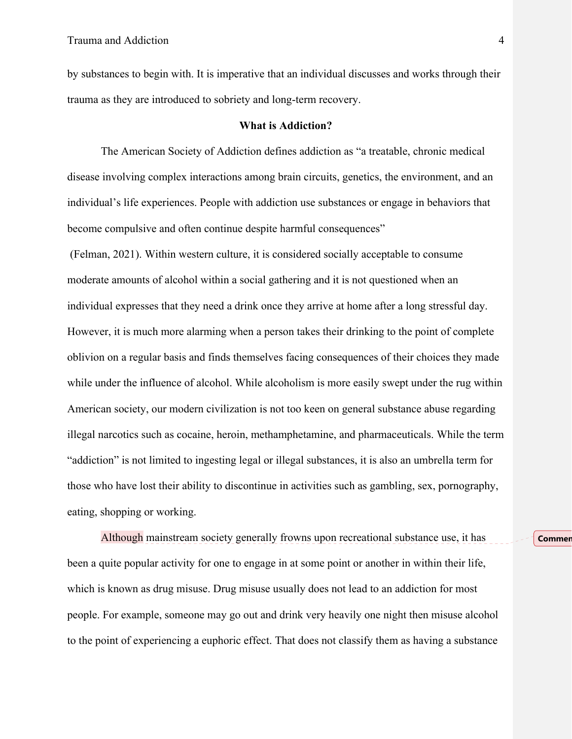by substances to begin with. It is imperative that an individual discusses and works through their trauma as they are introduced to sobriety and long-term recovery.

## **What is Addiction?**

 The American Society of Addiction defines addiction as "a treatable, chronic medical disease involving complex interactions among brain circuits, genetics, the environment, and an individual's life experiences. People with addiction use substances or engage in behaviors that become compulsive and often continue despite harmful consequences"

 (Felman, 2021). Within western culture, it is considered socially acceptable to consume moderate amounts of alcohol within a social gathering and it is not questioned when an individual expresses that they need a drink once they arrive at home after a long stressful day. However, it is much more alarming when a person takes their drinking to the point of complete oblivion on a regular basis and finds themselves facing consequences of their choices they made while under the influence of alcohol. While alcoholism is more easily swept under the rug within American society, our modern civilization is not too keen on general substance abuse regarding illegal narcotics such as cocaine, heroin, methamphetamine, and pharmaceuticals. While the term "addiction" is not limited to ingesting legal or illegal substances, it is also an umbrella term for those who have lost their ability to discontinue in activities such as gambling, sex, pornography, eating, shopping or working.

Although mainstream society generally frowns upon recreational substance use, it has been a quite popular activity for one to engage in at some point or another in within their life, which is known as drug misuse. Drug misuse usually does not lead to an addiction for most people. For example, someone may go out and drink very heavily one night then misuse alcohol to the point of experiencing a euphoric effect. That does not classify them as having a substance

**Commen**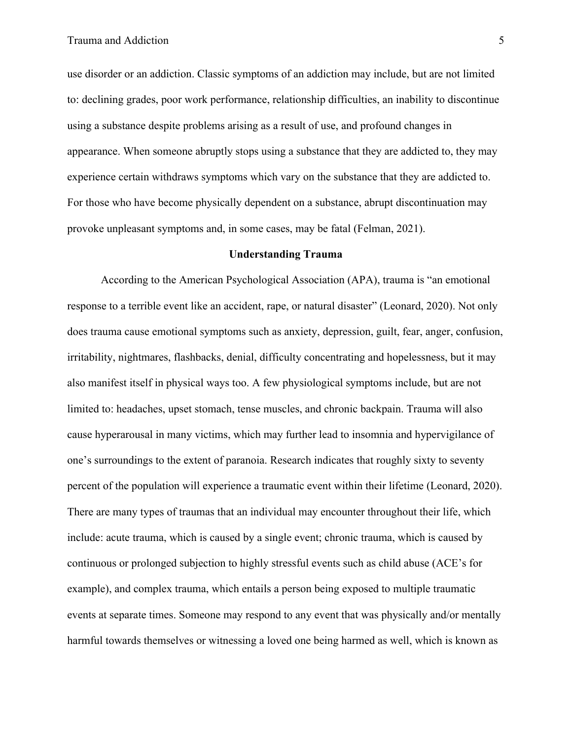use disorder or an addiction. Classic symptoms of an addiction may include, but are not limited to: declining grades, poor work performance, relationship difficulties, an inability to discontinue using a substance despite problems arising as a result of use, and profound changes in appearance. When someone abruptly stops using a substance that they are addicted to, they may experience certain withdraws symptoms which vary on the substance that they are addicted to. For those who have become physically dependent on a substance, abrupt discontinuation may provoke unpleasant symptoms and, in some cases, may be fatal (Felman, 2021).

# **Understanding Trauma**

 According to the American Psychological Association (APA), trauma is "an emotional response to a terrible event like an accident, rape, or natural disaster" (Leonard, 2020). Not only does trauma cause emotional symptoms such as anxiety, depression, guilt, fear, anger, confusion, irritability, nightmares, flashbacks, denial, difficulty concentrating and hopelessness, but it may also manifest itself in physical ways too. A few physiological symptoms include, but are not limited to: headaches, upset stomach, tense muscles, and chronic backpain. Trauma will also cause hyperarousal in many victims, which may further lead to insomnia and hypervigilance of one's surroundings to the extent of paranoia. Research indicates that roughly sixty to seventy percent of the population will experience a traumatic event within their lifetime (Leonard, 2020). There are many types of traumas that an individual may encounter throughout their life, which include: acute trauma, which is caused by a single event; chronic trauma, which is caused by continuous or prolonged subjection to highly stressful events such as child abuse (ACE's for example), and complex trauma, which entails a person being exposed to multiple traumatic events at separate times. Someone may respond to any event that was physically and/or mentally harmful towards themselves or witnessing a loved one being harmed as well, which is known as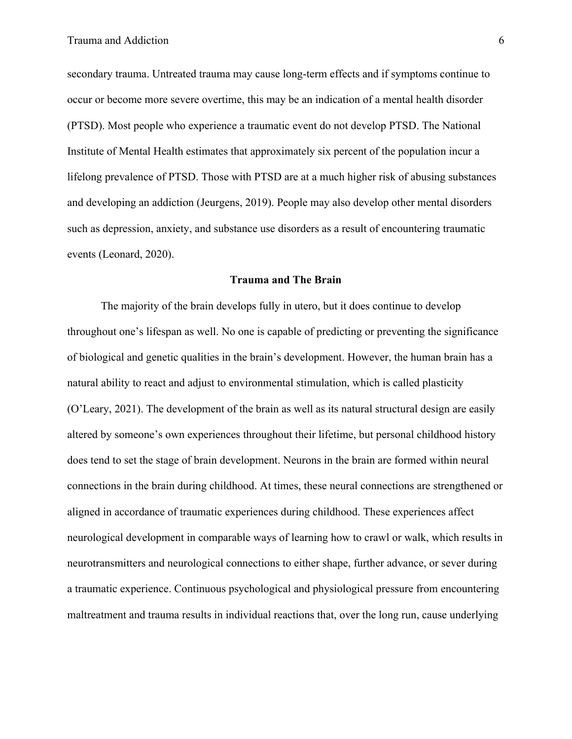secondary trauma. Untreated trauma may cause long-term effects and if symptoms continue to occur or become more severe overtime, this may be an indication of a mental health disorder (PTSD). Most people who experience a traumatic event do not develop PTSD. The National Institute of Mental Health estimates that approximately six percent of the population incur a lifelong prevalence of PTSD. Those with PTSD are at a much higher risk of abusing substances and developing an addiction (Jeurgens, 2019). People may also develop other mental disorders such as depression, anxiety, and substance use disorders as a result of encountering traumatic events (Leonard, 2020).

# **Trauma and The Brain**

 The majority of the brain develops fully in utero, but it does continue to develop throughout one's lifespan as well. No one is capable of predicting or preventing the significance of biological and genetic qualities in the brain's development. However, the human brain has a natural ability to react and adjust to environmental stimulation, which is called plasticity (O'Leary, 2021). The development of the brain as well as its natural structural design are easily altered by someone's own experiences throughout their lifetime, but personal childhood history does tend to set the stage of brain development. Neurons in the brain are formed within neural connections in the brain during childhood. At times, these neural connections are strengthened or aligned in accordance of traumatic experiences during childhood. These experiences affect neurological development in comparable ways of learning how to crawl or walk, which results in neurotransmitters and neurological connections to either shape, further advance, or sever during a traumatic experience. Continuous psychological and physiological pressure from encountering maltreatment and trauma results in individual reactions that, over the long run, cause underlying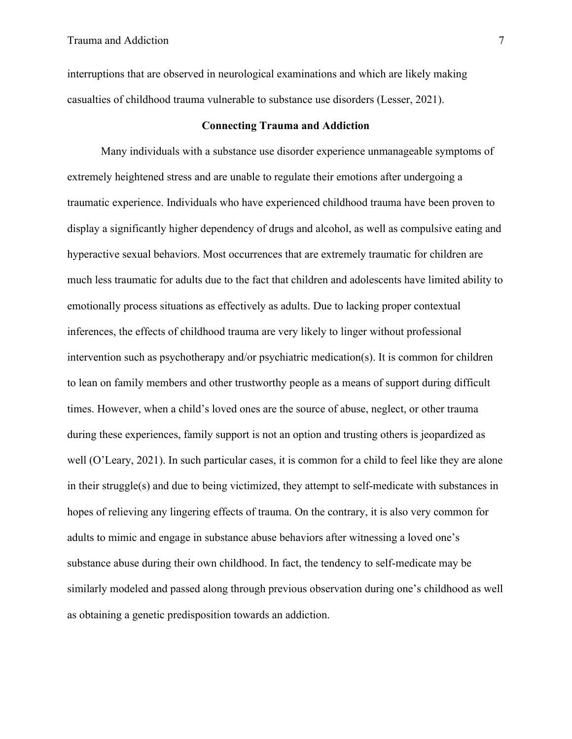interruptions that are observed in neurological examinations and which are likely making casualties of childhood trauma vulnerable to substance use disorders (Lesser, 2021).

# **Connecting Trauma and Addiction**

 Many individuals with a substance use disorder experience unmanageable symptoms of extremely heightened stress and are unable to regulate their emotions after undergoing a traumatic experience. Individuals who have experienced childhood trauma have been proven to display a significantly higher dependency of drugs and alcohol, as well as compulsive eating and hyperactive sexual behaviors. Most occurrences that are extremely traumatic for children are much less traumatic for adults due to the fact that children and adolescents have limited ability to emotionally process situations as effectively as adults. Due to lacking proper contextual inferences, the effects of childhood trauma are very likely to linger without professional intervention such as psychotherapy and/or psychiatric medication(s). It is common for children to lean on family members and other trustworthy people as a means of support during difficult times. However, when a child's loved ones are the source of abuse, neglect, or other trauma during these experiences, family support is not an option and trusting others is jeopardized as well (O'Leary, 2021). In such particular cases, it is common for a child to feel like they are alone in their struggle(s) and due to being victimized, they attempt to self-medicate with substances in hopes of relieving any lingering effects of trauma. On the contrary, it is also very common for adults to mimic and engage in substance abuse behaviors after witnessing a loved one's substance abuse during their own childhood. In fact, the tendency to self-medicate may be similarly modeled and passed along through previous observation during one's childhood as well as obtaining a genetic predisposition towards an addiction.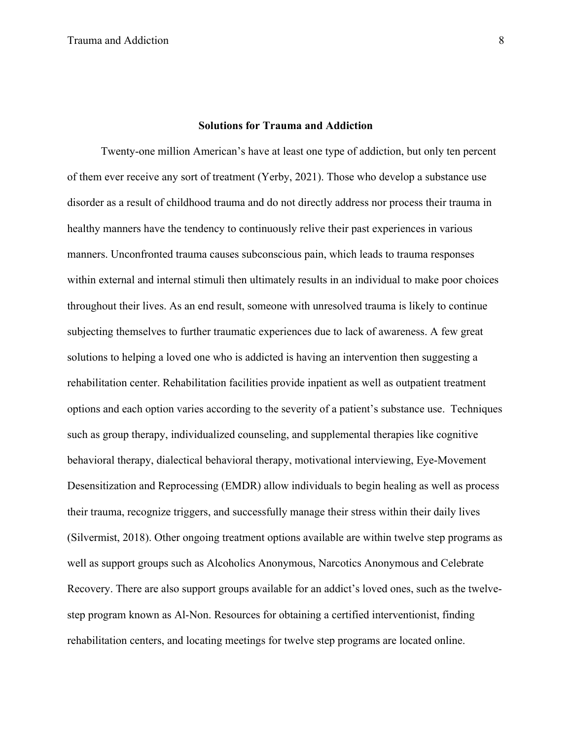#### **Solutions for Trauma and Addiction**

 Twenty-one million American's have at least one type of addiction, but only ten percent of them ever receive any sort of treatment (Yerby, 2021). Those who develop a substance use disorder as a result of childhood trauma and do not directly address nor process their trauma in healthy manners have the tendency to continuously relive their past experiences in various manners. Unconfronted trauma causes subconscious pain, which leads to trauma responses within external and internal stimuli then ultimately results in an individual to make poor choices throughout their lives. As an end result, someone with unresolved trauma is likely to continue subjecting themselves to further traumatic experiences due to lack of awareness. A few great solutions to helping a loved one who is addicted is having an intervention then suggesting a rehabilitation center. Rehabilitation facilities provide inpatient as well as outpatient treatment options and each option varies according to the severity of a patient's substance use. Techniques such as group therapy, individualized counseling, and supplemental therapies like cognitive behavioral therapy, dialectical behavioral therapy, motivational interviewing, Eye-Movement Desensitization and Reprocessing (EMDR) allow individuals to begin healing as well as process their trauma, recognize triggers, and successfully manage their stress within their daily lives (Silvermist, 2018). Other ongoing treatment options available are within twelve step programs as well as support groups such as Alcoholics Anonymous, Narcotics Anonymous and Celebrate Recovery. There are also support groups available for an addict's loved ones, such as the twelvestep program known as Al-Non. Resources for obtaining a certified interventionist, finding rehabilitation centers, and locating meetings for twelve step programs are located online.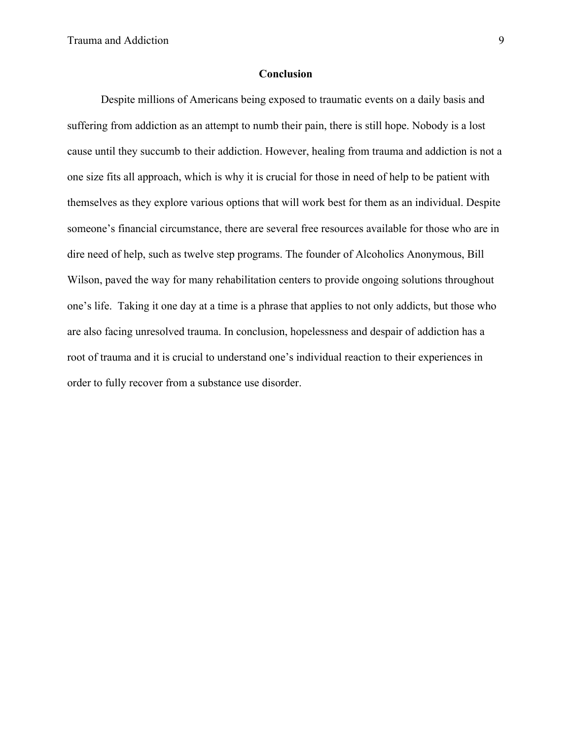## **Conclusion**

 Despite millions of Americans being exposed to traumatic events on a daily basis and suffering from addiction as an attempt to numb their pain, there is still hope. Nobody is a lost cause until they succumb to their addiction. However, healing from trauma and addiction is not a one size fits all approach, which is why it is crucial for those in need of help to be patient with themselves as they explore various options that will work best for them as an individual. Despite someone's financial circumstance, there are several free resources available for those who are in dire need of help, such as twelve step programs. The founder of Alcoholics Anonymous, Bill Wilson, paved the way for many rehabilitation centers to provide ongoing solutions throughout one's life. Taking it one day at a time is a phrase that applies to not only addicts, but those who are also facing unresolved trauma. In conclusion, hopelessness and despair of addiction has a root of trauma and it is crucial to understand one's individual reaction to their experiences in order to fully recover from a substance use disorder.